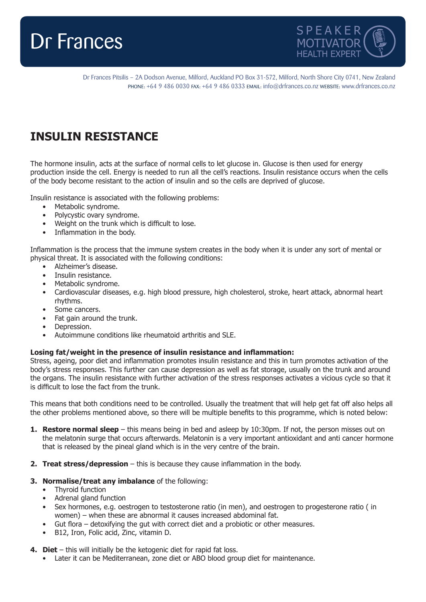



Dr Frances Pitsilis – 2A Dodson Avenue, Milford, Auckland PO Box 31-572, Milford, North Shore City 0741, New Zealand PHONE: +64 9 486 0030 FAX: +64 9 486 0333 EMAIL: info@drfrances.co.nz WEBSITE: www.drfrances.co.nz

## **INSULIN RESISTANCE**

The hormone insulin, acts at the surface of normal cells to let glucose in. Glucose is then used for energy production inside the cell. Energy is needed to run all the cell's reactions. Insulin resistance occurs when the cells of the body become resistant to the action of insulin and so the cells are deprived of glucose.

Insulin resistance is associated with the following problems:

- Metabolic syndrome.
- Polycystic ovary syndrome.
- Weight on the trunk which is difficult to lose.
- Inflammation in the body.

Inflammation is the process that the immune system creates in the body when it is under any sort of mental or physical threat. It is associated with the following conditions:

- Alzheimer's disease.
- Insulin resistance.
- Metabolic syndrome.
- Cardiovascular diseases, e.g. high blood pressure, high cholesterol, stroke, heart attack, abnormal heart rhythms.
- Some cancers.
- Fat gain around the trunk.
- Depression.
- Autoimmune conditions like rheumatoid arthritis and SLE.

## **Losing fat/weight in the presence of insulin resistance and inflammation:**

Stress, ageing, poor diet and inflammation promotes insulin resistance and this in turn promotes activation of the body's stress responses. This further can cause depression as well as fat storage, usually on the trunk and around the organs. The insulin resistance with further activation of the stress responses activates a vicious cycle so that it is difficult to lose the fact from the trunk.

This means that both conditions need to be controlled. Usually the treatment that will help get fat off also helps all the other problems mentioned above, so there will be multiple benefits to this programme, which is noted below:

- **1. Restore normal sleep** this means being in bed and asleep by 10:30pm. If not, the person misses out on the melatonin surge that occurs afterwards. Melatonin is a very important antioxidant and anti cancer hormone that is released by the pineal gland which is in the very centre of the brain.
- **2. Treat stress/depression** this is because they cause inflammation in the body.
- **3. Normalise/treat any imbalance** of the following:
	- Thyroid function
	- Adrenal gland function
	- Sex hormones, e.g. oestrogen to testosterone ratio (in men), and oestrogen to progesterone ratio ( in women) – when these are abnormal it causes increased abdominal fat.
	- Gut flora detoxifying the gut with correct diet and a probiotic or other measures.
	- B12, Iron, Folic acid, Zinc, vitamin D.
- **4. Diet** this will initially be the ketogenic diet for rapid fat loss.
	- Later it can be Mediterranean, zone diet or ABO blood group diet for maintenance.